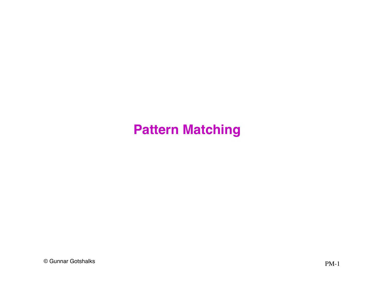© Gunnar Gotshalks PM-1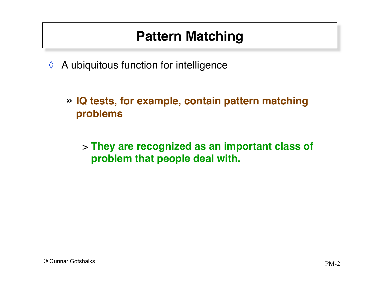- $\Diamond$  A ubiquitous function for intelligence
	- » **IQ tests, for example, contain pattern matching problems**

> **They are recognized as an important class of problem that people deal with.**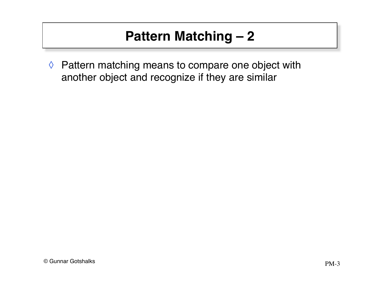◊ Pattern matching means to compare one object with another object and recognize if they are similar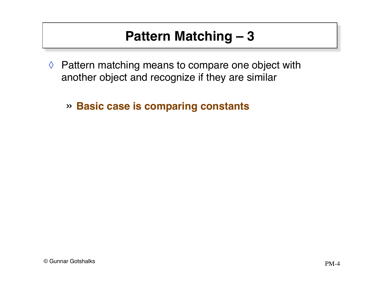- ◊ Pattern matching means to compare one object with another object and recognize if they are similar
	- » **Basic case is comparing constants**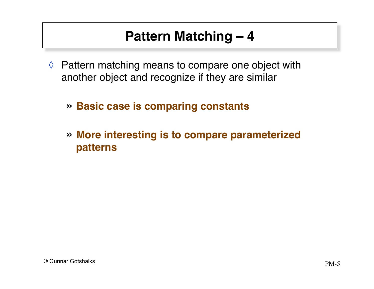- $\Diamond$  Pattern matching means to compare one object with another object and recognize if they are similar
	- » **Basic case is comparing constants**
	- » **More interesting is to compare parameterized patterns**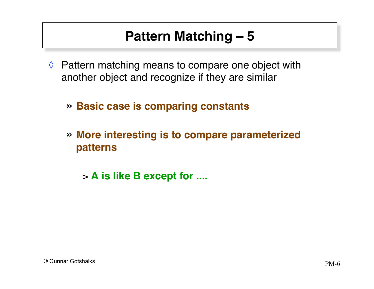- $\Diamond$  Pattern matching means to compare one object with another object and recognize if they are similar
	- » **Basic case is comparing constants**
	- » **More interesting is to compare parameterized patterns**
		- > **A is like B except for ....**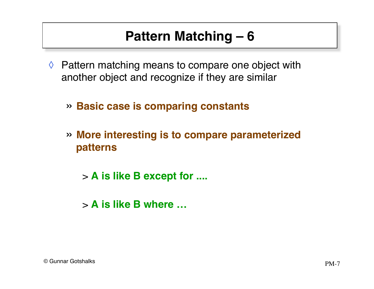- ◊ Pattern matching means to compare one object with another object and recognize if they are similar
	- » **Basic case is comparing constants**
	- » **More interesting is to compare parameterized patterns**
		- > **A is like B except for ....**
		- > **A is like B where …**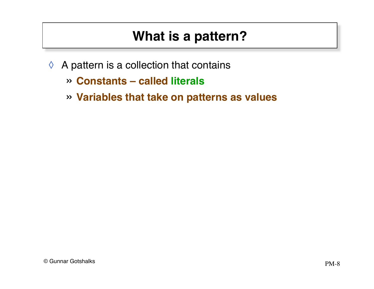#### **What is a pattern?**

- $\Diamond$  A pattern is a collection that contains
	- » **Constants called literals**
	- » **Variables that take on patterns as values**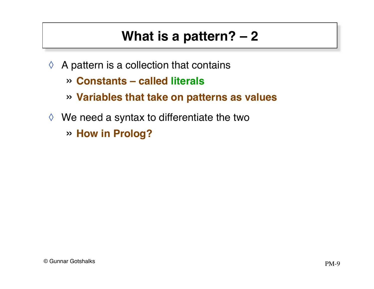# **What is a pattern? – 2**

- $\Diamond$  A pattern is a collection that contains
	- » **Constants called literals**
	- » **Variables that take on patterns as values**
- $\Diamond$  We need a syntax to differentiate the two
	- » **How in Prolog?**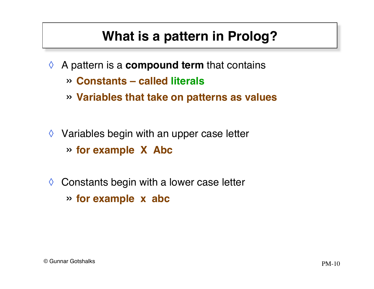### **What is a pattern in Prolog?**

- ◊ A pattern is a **compound term** that contains
	- » **Constants called literals**
	- » **Variables that take on patterns as values**
- $\Diamond$  Variables begin with an upper case letter » **for example X Abc**
- $\Diamond$  Constants begin with a lower case letter » **for example x abc**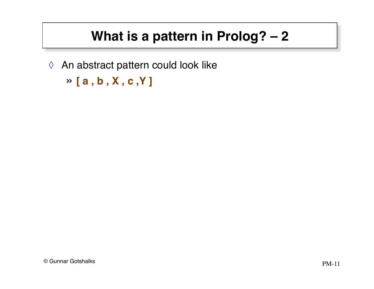## **What is a pattern in Prolog? – 2**

◊ An abstract pattern could look like

```
» [ a , b , X , c ,Y ]
```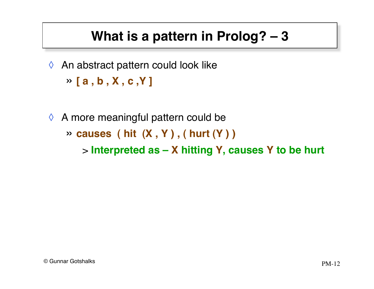### **What is a pattern in Prolog? – 3**

◊ An abstract pattern could look like

» **[ a , b , X , c ,Y ]**

 $\Diamond$  A more meaningful pattern could be » **causes ( hit (X , Y ) , ( hurt (Y ) )** > **Interpreted as – X hitting Y, causes Y to be hurt**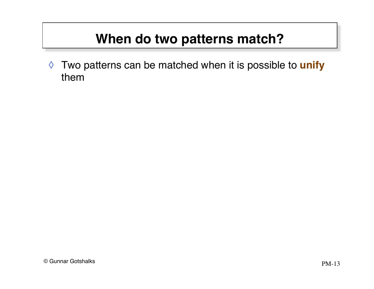◊ Two patterns can be matched when it is possible to **unify** them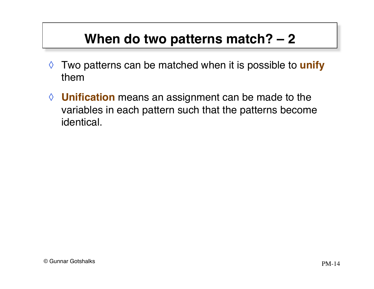- ◊ Two patterns can be matched when it is possible to **unify** them
- ◊ **Unification** means an assignment can be made to the variables in each pattern such that the patterns become identical.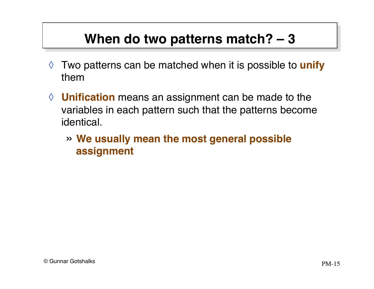- ◊ Two patterns can be matched when it is possible to **unify** them
- ◊ **Unification** means an assignment can be made to the variables in each pattern such that the patterns become identical.
	- » **We usually mean the most general possible assignment**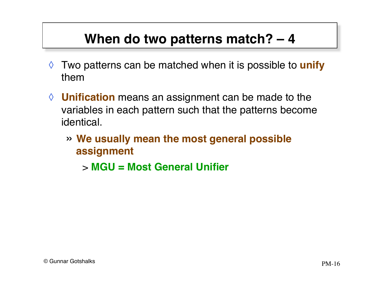- ◊ Two patterns can be matched when it is possible to **unify** them
- ◊ **Unification** means an assignment can be made to the variables in each pattern such that the patterns become identical.
	- » **We usually mean the most general possible assignment**
		- > **MGU = Most General Unifier**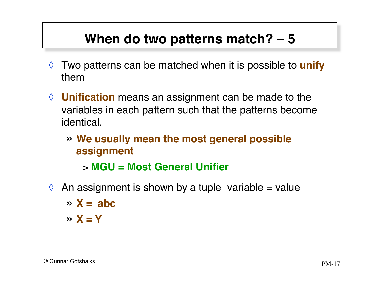- ◊ Two patterns can be matched when it is possible to **unify** them
- ◊ **Unification** means an assignment can be made to the variables in each pattern such that the patterns become identical.
	- » **We usually mean the most general possible assignment**

> **MGU = Most General Unifier**

- $\Diamond$  An assignment is shown by a tuple variable = value
	- $\rightarrow$  **X** = abc
	- $\times$  **X** = **Y**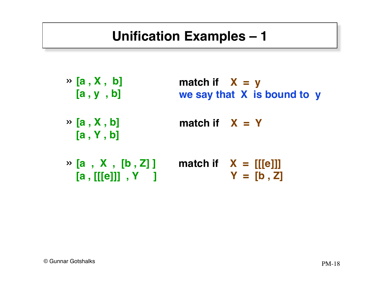## **Unification Examples – 1**

- » **[a , X , b] [a , y , b] match if**  $X = y$ **we say that X is bound to y**
- » **[a , X , b] [a , Y , b]** match if  $X = Y$
- » **[a , X , [b , Z] ] match if X = [[[e]]] [a , [[[e]]] , Y ] Y = [b , Z]**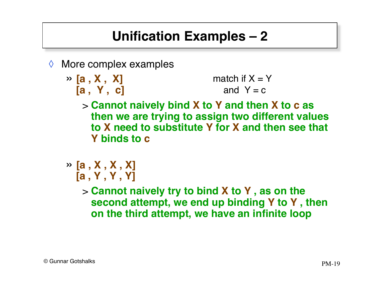# **Unification Examples – 2**

- ◊ More complex examples
	- » **[a , X , X] [a , Y , c]** match if  $X = Y$ and  $Y = c$ 
		- > **Cannot naively bind X to Y and then X to c as then we are trying to assign two different values to X need to substitute Y for X and then see that Y binds to c**
	- » **[a , X , X , X] [a , Y , Y , Y]**

> **Cannot naively try to bind X to Y , as on the second attempt, we end up binding Y to Y , then on the third attempt, we have an infinite loop**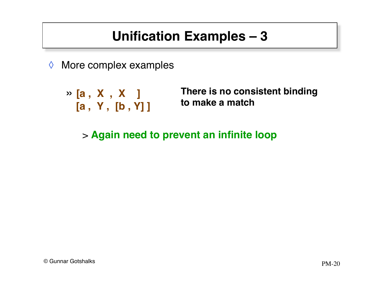# **Unification Examples – 3**

- ◊ More complex examples
	- » **[a , X , X ] [a , Y , [b , Y] ]**

**There is no consistent binding to make a match**

> **Again need to prevent an infinite loop**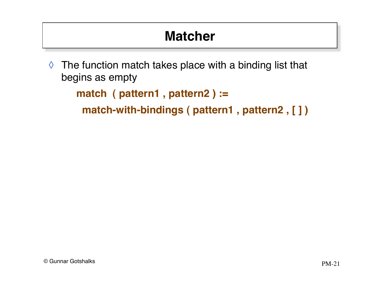# **Matcher**

 $\Diamond$  The function match takes place with a binding list that begins as empty

```
match ( pattern1 , pattern2 ) :=
```

```
 match-with-bindings ( pattern1 , pattern2 , [ ] )
```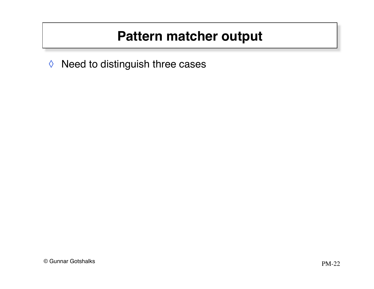◊ Need to distinguish three cases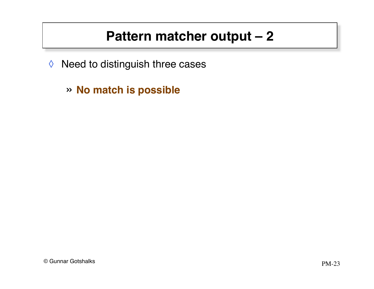- ◊ Need to distinguish three cases
	- » **No match is possible**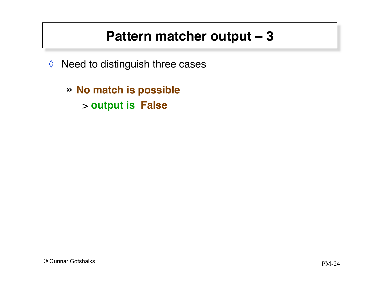- ◊ Need to distinguish three cases
	- » **No match is possible** > **output is False**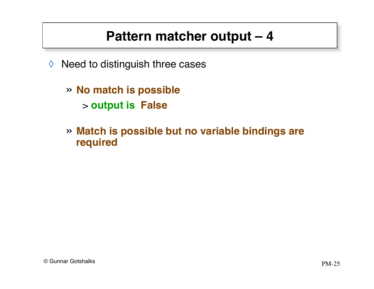- $\Diamond$  Need to distinguish three cases
	- » **No match is possible** > **output is False**
	- » **Match is possible but no variable bindings are required**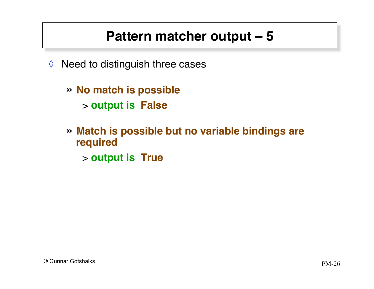- $\Diamond$  Need to distinguish three cases
	- » **No match is possible** > **output is False**
	- » **Match is possible but no variable bindings are required**
		- > **output is True**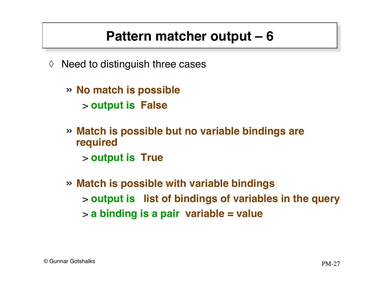- ◊ Need to distinguish three cases
	- » **No match is possible** > **output is False**
	- » **Match is possible but no variable bindings are required** > **output is True**
	- » **Match is possible with variable bindings** > **output is list of bindings of variables in the query** > **a binding is a pair variable = value**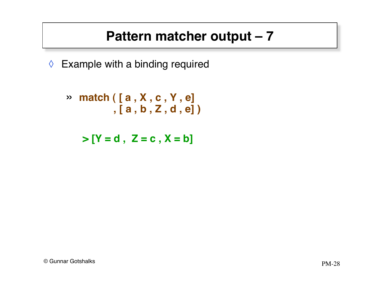◊ Example with a binding required

$$
\begin{array}{ll}\n\mathsf{a} & \mathsf{m} & \mathsf{m} \\
\mathsf{a} & \mathsf{b} & \mathsf{c} \\
\mathsf{b} & \mathsf{c} & \mathsf{d} \\
\mathsf{d} & \mathsf{e}\n\end{array}
$$

 $> [Y = d, Z = c, X = b]$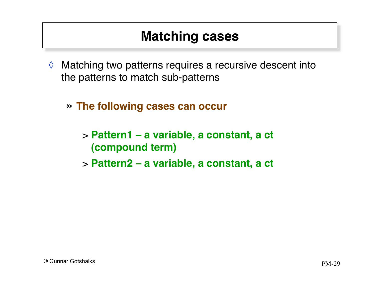#### **Matching cases**

- ◊ Matching two patterns requires a recursive descent into the patterns to match sub-patterns
	- » **The following cases can occur**
		- > **Pattern1 a variable, a constant, a ct (compound term)**
		- > **Pattern2 a variable, a constant, a ct**